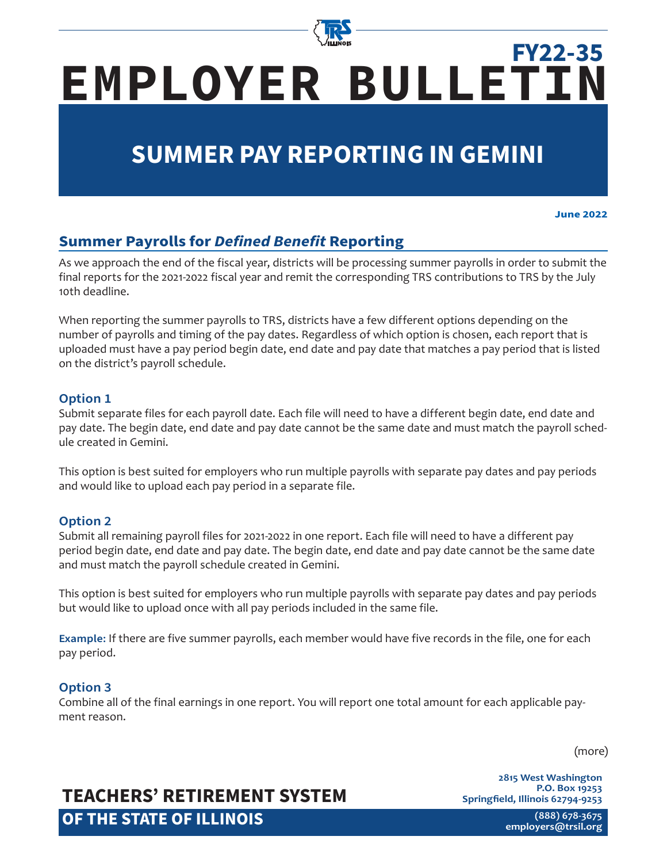

# **EMPLOYER BULLETIN FY22-35**

# **SUMMER PAY REPORTING IN GEMINI**

**June 2022**

### **Summer Payrolls for** *Defined Benefit* **Reporting**

As we approach the end of the fiscal year, districts will be processing summer payrolls in order to submit the final reports for the 2021-2022 fiscal year and remit the corresponding TRS contributions to TRS by the July 10th deadline.

When reporting the summer payrolls to TRS, districts have a few different options depending on the number of payrolls and timing of the pay dates. Regardless of which option is chosen, each report that is uploaded must have a pay period begin date, end date and pay date that matches a pay period that is listed on the district's payroll schedule.

#### **Option 1**

Submit separate files for each payroll date. Each file will need to have a different begin date, end date and pay date. The begin date, end date and pay date cannot be the same date and must match the payroll schedule created in Gemini.

This option is best suited for employers who run multiple payrolls with separate pay dates and pay periods and would like to upload each pay period in a separate file.

#### **Option 2**

Submit all remaining payroll files for 2021-2022 in one report. Each file will need to have a different pay period begin date, end date and pay date. The begin date, end date and pay date cannot be the same date and must match the payroll schedule created in Gemini.

This option is best suited for employers who run multiple payrolls with separate pay dates and pay periods but would like to upload once with all pay periods included in the same file.

**Example:** If there are five summer payrolls, each member would have five records in the file, one for each pay period.

#### **Option 3**

Combine all of the final earnings in one report. You will report one total amount for each applicable payment reason.

(more)

# **TEACHERS' RETIREMENT SYSTEM OF THE STATE OF ILLINOIS**

**2815 West Washington P.O. Box 19253 Springfield, Illinois 62794-9253**

> **(888) 678-3675 [employers@trsi](mailto:employers%40trsil.org?subject=)l.org**